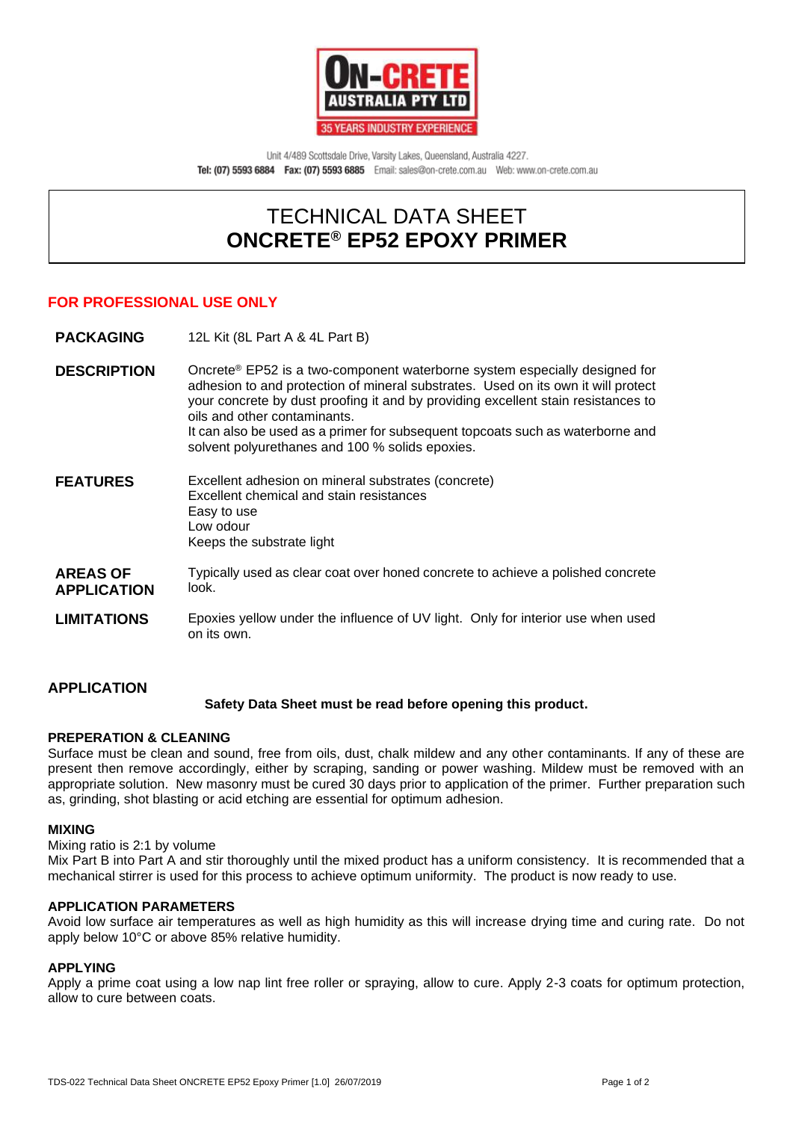

Unit 4/489 Scottsdale Drive, Varsity Lakes, Queensland, Australia 4227. Tel: (07) 5593 6884 Fax: (07) 5593 6885 Email: sales@on-crete.com.au Web: www.on-crete.com.au

# TECHNICAL DATA SHEET **ONCRETE® EP52 EPOXY PRIMER**

# **FOR PROFESSIONAL USE ONLY**

**PACKAGING** 12L Kit (8L Part A & 4L Part B)

**DESCRIPTION** Oncrete<sup>®</sup> EP52 is a two-component waterborne system especially designed for adhesion to and protection of mineral substrates. Used on its own it will protect your concrete by dust proofing it and by providing excellent stain resistances to oils and other contaminants. It can also be used as a primer for subsequent topcoats such as waterborne and solvent polyurethanes and 100 % solids epoxies.

**FEATURES** Excellent adhesion on mineral substrates (concrete) Excellent chemical and stain resistances Easy to use Low odour Keeps the substrate light

- **AREAS OF APPLICATION** Typically used as clear coat over honed concrete to achieve a polished concrete look.
- **LIMITATIONS** Epoxies yellow under the influence of UV light. Only for interior use when used on its own.

#### **APPLICATION Safety Data Sheet must be read before opening this product.**

#### **PREPERATION & CLEANING**

Surface must be clean and sound, free from oils, dust, chalk mildew and any other contaminants. If any of these are present then remove accordingly, either by scraping, sanding or power washing. Mildew must be removed with an appropriate solution. New masonry must be cured 30 days prior to application of the primer. Further preparation such as, grinding, shot blasting or acid etching are essential for optimum adhesion.

#### **MIXING**

Mixing ratio is 2:1 by volume

Mix Part B into Part A and stir thoroughly until the mixed product has a uniform consistency. It is recommended that a mechanical stirrer is used for this process to achieve optimum uniformity. The product is now ready to use.

### **APPLICATION PARAMETERS**

Avoid low surface air temperatures as well as high humidity as this will increase drying time and curing rate. Do not apply below 10°C or above 85% relative humidity.

#### **APPLYING**

Apply a prime coat using a low nap lint free roller or spraying, allow to cure. Apply 2-3 coats for optimum protection, allow to cure between coats.